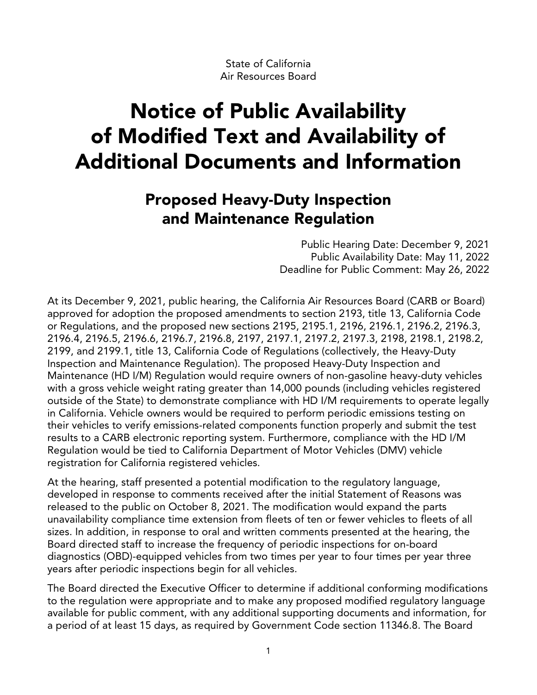State of California Air Resources Board

# Notice of Public Availability of Modified Text and Availability of Additional Documents and Information

## Proposed Heavy-Duty Inspection and Maintenance Regulation

 Public Hearing Date: December 9, 2021 Public Availability Date: May 11, 2022 Deadline for Public Comment: May 26, 2022

 At its December 9, 2021, public hearing, the California Air Resources Board (CARB or Board) approved for adoption the proposed amendments to section 2193, title 13, California Code or Regulations, and the proposed new sections 2195, 2195.1, 2196, 2196.1, 2196.2, 2196.3, 2196.4, 2196.5, 2196.6, 2196.7, 2196.8, 2197, 2197.1, 2197.2, 2197.3, 2198, 2198.1, 2198.2, 2199, and 2199.1, title 13, California Code of Regulations (collectively, the Heavy-Duty Inspection and Maintenance Regulation). The proposed Heavy-Duty Inspection and Maintenance (HD I/M) Regulation would require owners of non-gasoline heavy-duty vehicles with a gross vehicle weight rating greater than 14,000 pounds (including vehicles registered outside of the State) to demonstrate compliance with HD I/M requirements to operate legally in California. Vehicle owners would be required to perform periodic emissions testing on their vehicles to verify emissions-related components function properly and submit the test results to a CARB electronic reporting system. Furthermore, compliance with the HD I/M Regulation would be tied to California Department of Motor Vehicles (DMV) vehicle registration for California registered vehicles.

 At the hearing, staff presented a potential modification to the regulatory language, developed in response to comments received after the initial Statement of Reasons was released to the public on October 8, 2021. The modification would expand the parts unavailability compliance time extension from fleets of ten or fewer vehicles to fleets of all sizes. In addition, in response to oral and written comments presented at the hearing, the Board directed staff to increase the frequency of periodic inspections for on-board diagnostics (OBD)-equipped vehicles from two times per year to four times per year three years after periodic inspections begin for all vehicles.

 The Board directed the Executive Officer to determine if additional conforming modifications to the regulation were appropriate and to make any proposed modified regulatory language available for public comment, with any additional supporting documents and information, for a period of at least 15 days, as required by Government Code section 11346.8. The Board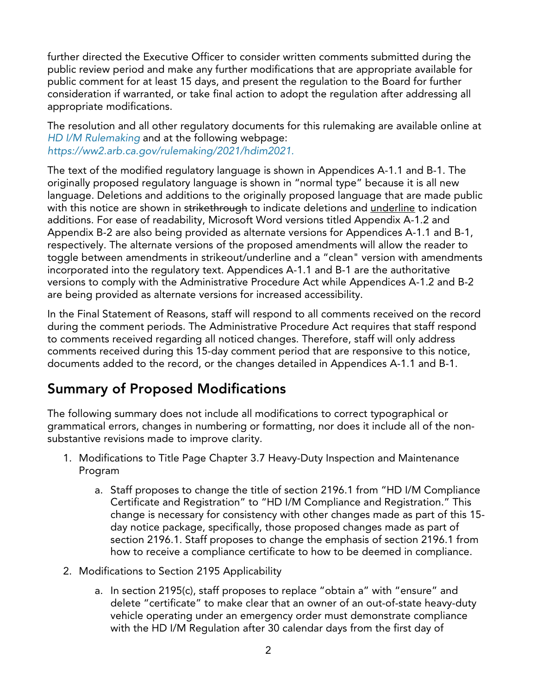further directed the Executive Officer to consider written comments submitted during the public review period and make any further modifications that are appropriate available for public comment for at least 15 days, and present the regulation to the Board for further consideration if warranted, or take final action to adopt the regulation after addressing all appropriate modifications.

 The resolution and all other regulatory documents for this rulemaking are available online at  *[HD I/M Rulemaking](https://ww2.arb.ca.gov/rulemaking/2021/hdim2021)* and at the following webpage: *[https://ww2.arb.ca.gov/rulemaking/2021/hdim2021.](https://ww2.arb.ca.gov/rulemaking/2021/hdim2021)* 

 The text of the modified regulatory language is shown in Appendices A-1.1 and B-1. The originally proposed regulatory language is shown in "normal type" because it is all new language. Deletions and additions to the originally proposed language that are made public with this notice are shown in <del>strikethrough</del> to indicate deletions and <u>underline</u> to indication . additions. For ease of readability, Microsoft Word versions titled Appendix A-1.2 and Appendix B-2 are also being provided as alternate versions for Appendices A-1.1 and B-1, respectively. The alternate versions of the proposed amendments will allow the reader to toggle between amendments in strikeout/underline and a "clean" version with amendments incorporated into the regulatory text. Appendices A-1.1 and B-1 are the authoritative versions to comply with the Administrative Procedure Act while Appendices A-1.2 and B-2 are being provided as alternate versions for increased accessibility.

 In the Final Statement of Reasons, staff will respond to all comments received on the record during the comment periods. The Administrative Procedure Act requires that staff respond to comments received regarding all noticed changes. Therefore, staff will only address comments received during this 15-day comment period that are responsive to this notice, documents added to the record, or the changes detailed in Appendices A-1.1 and B-1.

## Summary of Proposed Modifications

 The following summary does not include all modifications to correct typographical or grammatical errors, changes in numbering or formatting, nor does it include all of the non-substantive revisions made to improve clarity.

- 1. Modifications to Title Page Chapter 3.7 Heavy-Duty Inspection and Maintenance Program
	- a. Staff proposes to change the title of section 2196.1 from "HD I/M Compliance Certificate and Registration" to "HD I/M Compliance and Registration." This change is necessary for consistency with other changes made as part of this 15- day notice package, specifically, those proposed changes made as part of section 2196.1. Staff proposes to change the emphasis of section 2196.1 from how to receive a compliance certificate to how to be deemed in compliance.
- 2. Modifications to Section 2195 Applicability
	- a. In section 2195(c), staff proposes to replace "obtain a" with "ensure" and delete "certificate" to make clear that an owner of an out-of-state heavy-duty vehicle operating under an emergency order must demonstrate compliance with the HD I/M Regulation after 30 calendar days from the first day of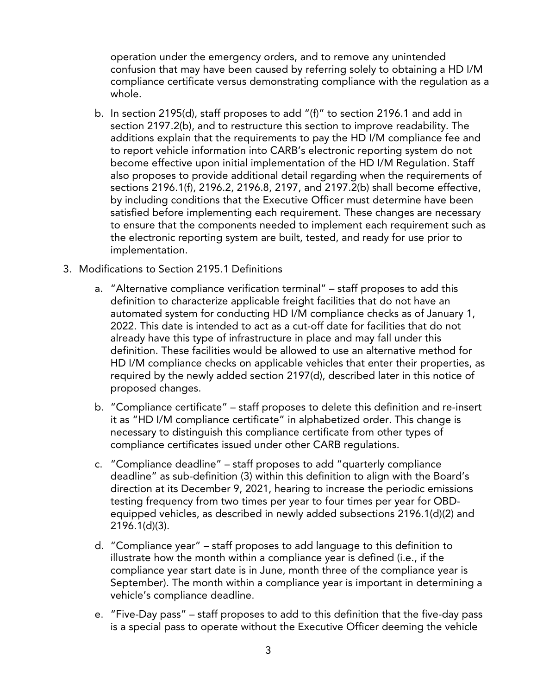operation under the emergency orders, and to remove any unintended confusion that may have been caused by referring solely to obtaining a HD I/M compliance certificate versus demonstrating compliance with the regulation as a whole.

- b. In section 2195(d), staff proposes to add "(f)" to section 2196.1 and add in section 2197.2(b), and to restructure this section to improve readability. The additions explain that the requirements to pay the HD I/M compliance fee and to report vehicle information into CARB's electronic reporting system do not become effective upon initial implementation of the HD I/M Regulation. Staff also proposes to provide additional detail regarding when the requirements of sections 2196.1(f), 2196.2, 2196.8, 2197, and 2197.2(b) shall become effective, by including conditions that the Executive Officer must determine have been satisfied before implementing each requirement. These changes are necessary to ensure that the components needed to implement each requirement such as the electronic reporting system are built, tested, and ready for use prior to implementation.
- implementation.<br>3. Modifications to Section 2195.1 Definitions
	- a. "Alternative compliance verification terminal" staff proposes to add this definition to characterize applicable freight facilities that do not have an automated system for conducting HD I/M compliance checks as of January 1, 2022. This date is intended to act as a cut-off date for facilities that do not already have this type of infrastructure in place and may fall under this definition. These facilities would be allowed to use an alternative method for HD I/M compliance checks on applicable vehicles that enter their properties, as required by the newly added section 2197(d), described later in this notice of proposed changes.
	- b. "Compliance certificate" staff proposes to delete this definition and re-insert it as "HD I/M compliance certificate" in alphabetized order. This change is necessary to distinguish this compliance certificate from other types of compliance certificates issued under other CARB regulations.
	- c. "Compliance deadline" staff proposes to add "quarterly compliance deadline" as sub-definition (3) within this definition to align with the Board's direction at its December 9, 2021, hearing to increase the periodic emissions testing frequency from two times per year to four times per year for OBD- equipped vehicles, as described in newly added subsections 2196.1(d)(2) and  $2196.1(d)(3)$ .
	- 2196.1(d)(3). d. "Compliance year" staff proposes to add language to this definition to illustrate how the month within a compliance year is defined (i.e., if the compliance year start date is in June, month three of the compliance year is September). The month within a compliance year is important in determining a vehicle's compliance deadline.
	- e. "Five-Day pass" staff proposes to add to this definition that the five-day pass is a special pass to operate without the Executive Officer deeming the vehicle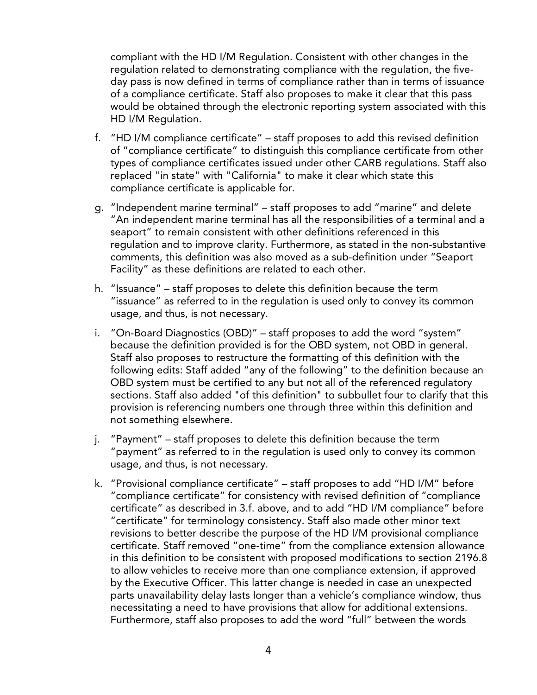compliant with the HD I/M Regulation. Consistent with other changes in the regulation related to demonstrating compliance with the regulation, the five- day pass is now defined in terms of compliance rather than in terms of issuance of a compliance certificate. Staff also proposes to make it clear that this pass would be obtained through the electronic reporting system associated with this HD I/M Regulation.

- f. "HD I/M compliance certificate" staff proposes to add this revised definition of "compliance certificate" to distinguish this compliance certificate from other types of compliance certificates issued under other CARB regulations. Staff also replaced "in state" with "California" to make it clear which state this compliance certificate is applicable for.
- g. "Independent marine terminal" staff proposes to add "marine" and delete "An independent marine terminal has all the responsibilities of a terminal and a seaport" to remain consistent with other definitions referenced in this regulation and to improve clarity. Furthermore, as stated in the non-substantive comments, this definition was also moved as a sub-definition under "Seaport Facility" as these definitions are related to each other.
- h. "Issuance" staff proposes to delete this definition because the term "issuance" as referred to in the regulation is used only to convey its common usage, and thus, is not necessary.
- i. "On-Board Diagnostics (OBD)" staff proposes to add the word "system" because the definition provided is for the OBD system, not OBD in general. Staff also proposes to restructure the formatting of this definition with the following edits: Staff added "any of the following" to the definition because an OBD system must be certified to any but not all of the referenced regulatory sections. Staff also added "of this definition" to subbullet four to clarify that this provision is referencing numbers one through three within this definition and not something elsewhere.
- j. "Payment" staff proposes to delete this definition because the term "payment" as referred to in the regulation is used only to convey its common usage, and thus, is not necessary.
- k. "Provisional compliance certificate" staff proposes to add "HD I/M" before "compliance certificate" for consistency with revised definition of "compliance certificate" as described in 3.f. above, and to add "HD I/M compliance" before "certificate" for terminology consistency. Staff also made other minor text revisions to better describe the purpose of the HD I/M provisional compliance certificate. Staff removed "one-time" from the compliance extension allowance in this definition to be consistent with proposed modifications to section 2196.8 to allow vehicles to receive more than one compliance extension, if approved by the Executive Officer. This latter change is needed in case an unexpected parts unavailability delay lasts longer than a vehicle's compliance window, thus necessitating a need to have provisions that allow for additional extensions. Furthermore, staff also proposes to add the word "full" between the words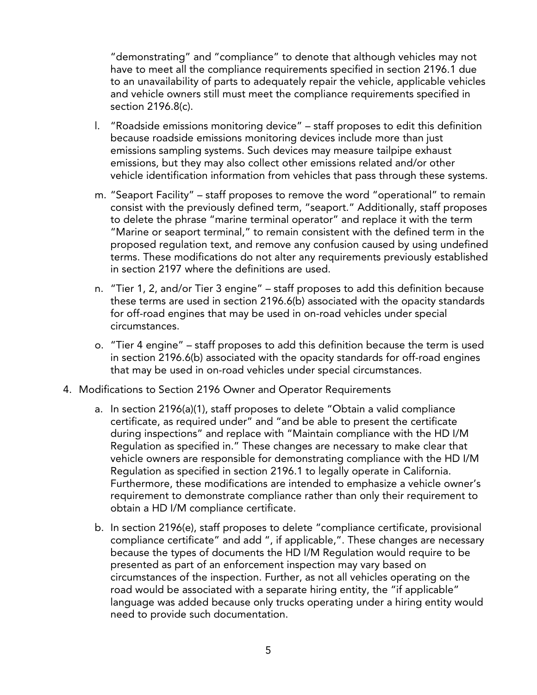"demonstrating" and "compliance" to denote that although vehicles may not have to meet all the compliance requirements specified in section 2196.1 due to an unavailability of parts to adequately repair the vehicle, applicable vehicles and vehicle owners still must meet the compliance requirements specified in section 2196.8(c).

- l. "Roadside emissions monitoring device" staff proposes to edit this definition because roadside emissions monitoring devices include more than just emissions sampling systems. Such devices may measure tailpipe exhaust emissions, but they may also collect other emissions related and/or other vehicle identification information from vehicles that pass through these systems.
- m. "Seaport Facility" staff proposes to remove the word "operational" to remain consist with the previously defined term, "seaport." Additionally, staff proposes to delete the phrase "marine terminal operator" and replace it with the term "Marine or seaport terminal," to remain consistent with the defined term in the proposed regulation text, and remove any confusion caused by using undefined terms. These modifications do not alter any requirements previously established in section 2197 where the definitions are used.
- n. "Tier 1, 2, and/or Tier 3 engine" staff proposes to add this definition because these terms are used in section 2196.6(b) associated with the opacity standards for off-road engines that may be used in on-road vehicles under special circumstances.
- o. "Tier 4 engine" staff proposes to add this definition because the term is used in section 2196.6(b) associated with the opacity standards for off-road engines that may be used in on-road vehicles under special circumstances.
- 4. Modifications to Section 2196 Owner and Operator Requirements
	- a. In section 2196(a)(1), staff proposes to delete "Obtain a valid compliance certificate, as required under" and "and be able to present the certificate during inspections" and replace with "Maintain compliance with the HD I/M Regulation as specified in." These changes are necessary to make clear that vehicle owners are responsible for demonstrating compliance with the HD I/M Regulation as specified in section 2196.1 to legally operate in California. Furthermore, these modifications are intended to emphasize a vehicle owner's requirement to demonstrate compliance rather than only their requirement to obtain a HD I/M compliance certificate.
	- b. In section 2196(e), staff proposes to delete "compliance certificate, provisional compliance certificate" and add ", if applicable,". These changes are necessary because the types of documents the HD I/M Regulation would require to be presented as part of an enforcement inspection may vary based on circumstances of the inspection. Further, as not all vehicles operating on the road would be associated with a separate hiring entity, the "if applicable" language was added because only trucks operating under a hiring entity would need to provide such documentation.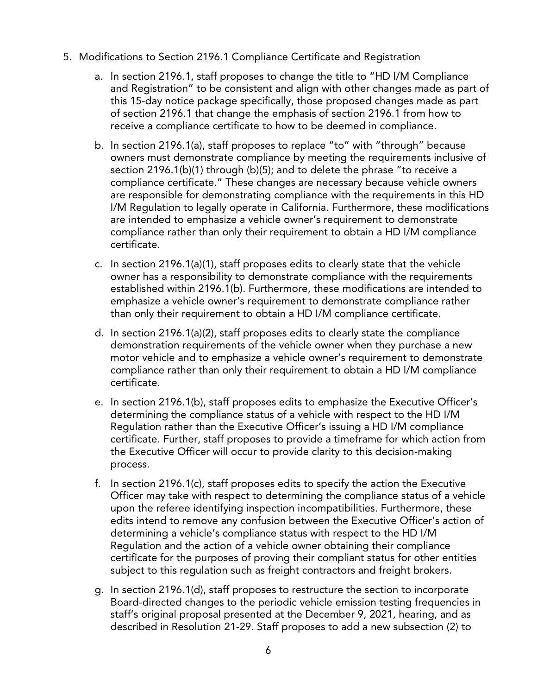- 5. Modifications to Section 2196.1 Compliance Certificate and Registration
	- a. In section 2196.1, staff proposes to change the title to "HD I/M Compliance and Registration" to be consistent and align with other changes made as part of this 15-day notice package specifically, those proposed changes made as part of section 2196.1 that change the emphasis of section 2196.1 from how to receive a compliance certificate to how to be deemed in compliance.
	- b. In section 2196.1(a), staff proposes to replace "to" with "through" because owners must demonstrate compliance by meeting the requirements inclusive of section 2196.1(b)(1) through (b)(5); and to delete the phrase "to receive a compliance certificate." These changes are necessary because vehicle owners are responsible for demonstrating compliance with the requirements in this HD I/M Regulation to legally operate in California. Furthermore, these modifications are intended to emphasize a vehicle owner's requirement to demonstrate compliance rather than only their requirement to obtain a HD I/M compliance certificate.
	- certificate.<br>c. In section 2196.1(a)(1), staff proposes edits to clearly state that the vehicle owner has a responsibility to demonstrate compliance with the requirements established within 2196.1(b). Furthermore, these modifications are intended to emphasize a vehicle owner's requirement to demonstrate compliance rather than only their requirement to obtain a HD I/M compliance certificate.
	- d. In section 2196.1(a)(2), staff proposes edits to clearly state the compliance demonstration requirements of the vehicle owner when they purchase a new motor vehicle and to emphasize a vehicle owner's requirement to demonstrate compliance rather than only their requirement to obtain a HD I/M compliance certificate.
	- certificate. e. In section 2196.1(b), staff proposes edits to emphasize the Executive Officer's determining the compliance status of a vehicle with respect to the HD I/M Regulation rather than the Executive Officer's issuing a HD I/M compliance certificate. Further, staff proposes to provide a timeframe for which action from the Executive Officer will occur to provide clarity to this decision-making process.
	- f. In section 2196.1(c), staff proposes edits to specify the action the Executive Officer may take with respect to determining the compliance status of a vehicle upon the referee identifying inspection incompatibilities. Furthermore, these edits intend to remove any confusion between the Executive Officer's action of determining a vehicle's compliance status with respect to the HD I/M Regulation and the action of a vehicle owner obtaining their compliance certificate for the purposes of proving their compliant status for other entities subject to this regulation such as freight contractors and freight brokers.
	- g. In section 2196.1(d), staff proposes to restructure the section to incorporate Board-directed changes to the periodic vehicle emission testing frequencies in staff's original proposal presented at the December 9, 2021, hearing, and as described in [Resolution 21-29.](https://ww2.arb.ca.gov/sites/default/files/barcu/board/res/2021/res21-29.pdf) Staff proposes to add a new subsection (2) to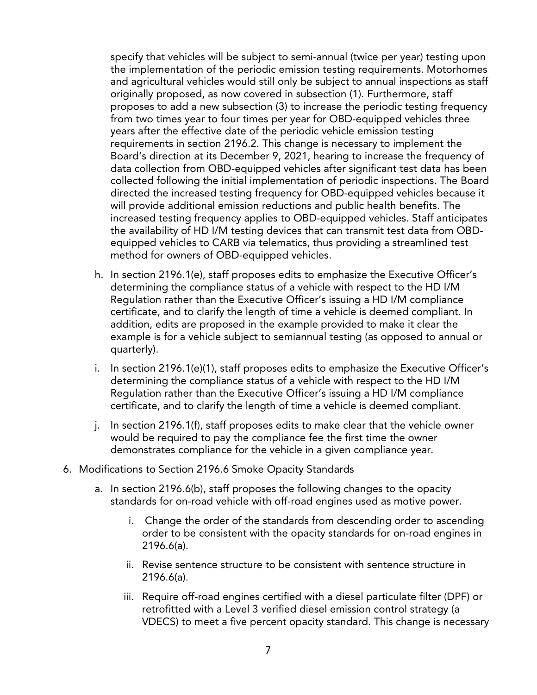specify that vehicles will be subject to semi-annual (twice per year) testing upon the implementation of the periodic emission testing requirements. Motorhomes and agricultural vehicles would still only be subject to annual inspections as staff originally proposed, as now covered in subsection (1). Furthermore, staff proposes to add a new subsection (3) to increase the periodic testing frequency from two times year to four times per year for OBD-equipped vehicles three years after the effective date of the periodic vehicle emission testing requirements in section 2196.2. This change is necessary to implement the Board's direction at its December 9, 2021, hearing to increase the frequency of data collection from OBD-equipped vehicles after significant test data has been collected following the initial implementation of periodic inspections. The Board directed the increased testing frequency for OBD-equipped vehicles because it will provide additional emission reductions and public health benefits. The increased testing frequency applies to OBD-equipped vehicles. Staff anticipates the availability of HD I/M testing devices that can transmit test data from OBD- equipped vehicles to CARB via telematics, thus providing a streamlined test method for owners of OBD-equipped vehicles.

- h. In section 2196.1(e), staff proposes edits to emphasize the Executive Officer's determining the compliance status of a vehicle with respect to the HD I/M Regulation rather than the Executive Officer's issuing a HD I/M compliance certificate, and to clarify the length of time a vehicle is deemed compliant. In addition, edits are proposed in the example provided to make it clear the example is for a vehicle subject to semiannual testing (as opposed to annual or quarterly).
- quarterly).<br>i. In section 2196.1(e)(1), staff proposes edits to emphasize the Executive Officer's determining the compliance status of a vehicle with respect to the HD I/M Regulation rather than the Executive Officer's issuing a HD I/M compliance certificate, and to clarify the length of time a vehicle is deemed compliant.
- j. In section 2196.1(f), staff proposes edits to make clear that the vehicle owner would be required to pay the compliance fee the first time the owner demonstrates compliance for the vehicle in a given compliance year.
- 6. Modifications to Section 2196.6 Smoke Opacity Standards
	- a. In section 2196.6(b), staff proposes the following changes to the opacity standards for on-road vehicle with off-road engines used as motive power.
		- i. Change the order of the standards from descending order to ascending order to be consistent with the opacity standards for on-road engines in 2196.6(a).
		- ii. Revise sentence structure to be consistent with sentence structure in 2196.6(a).
		- iii. Require off-road engines certified with a diesel particulate filter (DPF) or retrofitted with a Level 3 verified diesel emission control strategy (a VDECS) to meet a five percent opacity standard. This change is necessary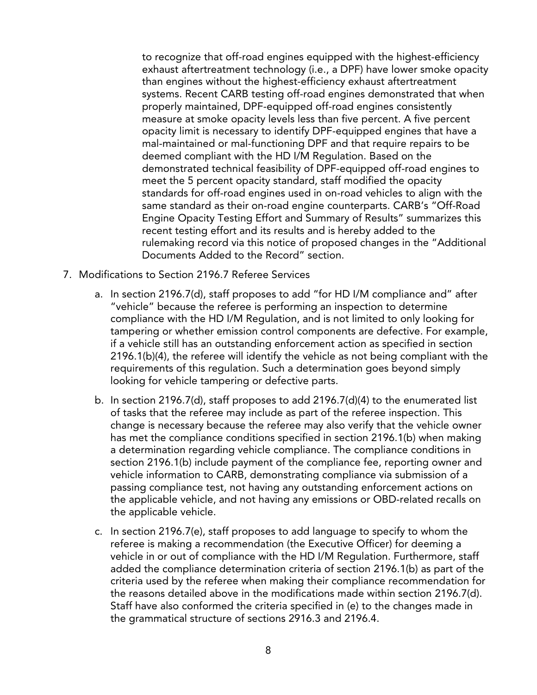to recognize that off-road engines equipped with the highest-efficiency exhaust aftertreatment technology (i.e., a DPF) have lower smoke opacity than engines without the highest-efficiency exhaust aftertreatment systems. Recent CARB testing off-road engines demonstrated that when properly maintained, DPF-equipped off-road engines consistently measure at smoke opacity levels less than five percent. A five percent opacity limit is necessary to identify DPF-equipped engines that have a mal-maintained or mal-functioning DPF and that require repairs to be deemed compliant with the HD I/M Regulation. Based on the demonstrated technical feasibility of DPF-equipped off-road engines to meet the 5 percent opacity standard, staff modified the opacity standards for off-road engines used in on-road vehicles to align with the same standard as their on-road engine counterparts. CARB's "Off-Road Engine Opacity Testing Effort and Summary of Results" summarizes this recent testing effort and its results and is hereby added to the rulemaking record via this notice of proposed changes in the "Additional Documents Added to the Record" section.

- 7. Modifications to Section 2196.7 Referee Services
	- a. In section 2196.7(d), staff proposes to add "for HD I/M compliance and" after "vehicle" because the referee is performing an inspection to determine compliance with the HD I/M Regulation, and is not limited to only looking for tampering or whether emission control components are defective. For example, if a vehicle still has an outstanding enforcement action as specified in section 2196.1(b)(4), the referee will identify the vehicle as not being compliant with the requirements of this regulation. Such a determination goes beyond simply looking for vehicle tampering or defective parts.
	- b. In section 2196.7(d), staff proposes to add 2196.7(d)(4) to the enumerated list of tasks that the referee may include as part of the referee inspection. This change is necessary because the referee may also verify that the vehicle owner has met the compliance conditions specified in section 2196.1(b) when making a determination regarding vehicle compliance. The compliance conditions in section 2196.1(b) include payment of the compliance fee, reporting owner and vehicle information to CARB, demonstrating compliance via submission of a passing compliance test, not having any outstanding enforcement actions on the applicable vehicle, and not having any emissions or OBD-related recalls on the applicable vehicle.
	- c. In section 2196.7(e), staff proposes to add language to specify to whom the referee is making a recommendation (the Executive Officer) for deeming a vehicle in or out of compliance with the HD I/M Regulation. Furthermore, staff added the compliance determination criteria of section 2196.1(b) as part of the criteria used by the referee when making their compliance recommendation for the reasons detailed above in the modifications made within section 2196.7(d). Staff have also conformed the criteria specified in (e) to the changes made in the grammatical structure of sections 2916.3 and 2196.4.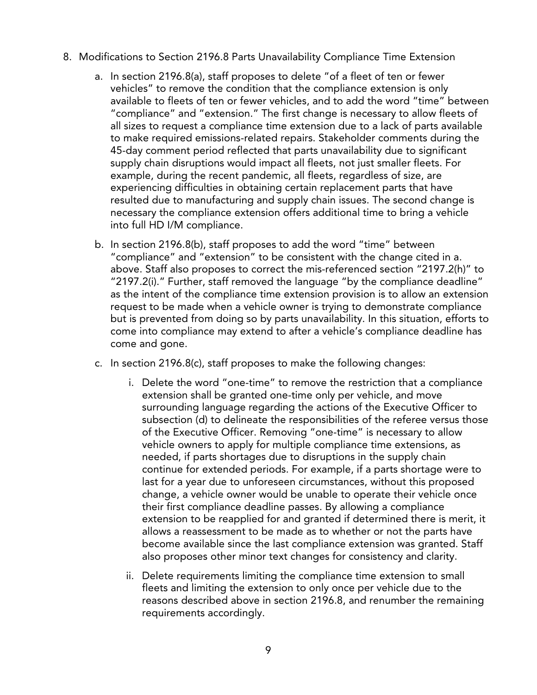- 8. Modifications to Section 2196.8 Parts Unavailability Compliance Time Extension
	- a. In section 2196.8(a), staff proposes to delete "of a fleet of ten or fewer vehicles" to remove the condition that the compliance extension is only available to fleets of ten or fewer vehicles, and to add the word "time" between "compliance" and "extension." The first change is necessary to allow fleets of all sizes to request a compliance time extension due to a lack of parts available to make required emissions-related repairs. Stakeholder comments during the 45-day comment period reflected that parts unavailability due to significant supply chain disruptions would impact all fleets, not just smaller fleets. For example, during the recent pandemic, all fleets, regardless of size, are experiencing difficulties in obtaining certain replacement parts that have resulted due to manufacturing and supply chain issues. The second change is necessary the compliance extension offers additional time to bring a vehicle into full HD I/M compliance.
	- b. In section 2196.8(b), staff proposes to add the word "time" between "compliance" and "extension" to be consistent with the change cited in a. above. Staff also proposes to correct the mis-referenced section "2197.2(h)" to "2197.2(i)." Further, staff removed the language "by the compliance deadline" as the intent of the compliance time extension provision is to allow an extension request to be made when a vehicle owner is trying to demonstrate compliance but is prevented from doing so by parts unavailability. In this situation, efforts to come into compliance may extend to after a vehicle's compliance deadline has come and gone.
	- c. In section 2196.8(c), staff proposes to make the following changes:
		- i. Delete the word "one-time" to remove the restriction that a compliance extension shall be granted one-time only per vehicle, and move surrounding language regarding the actions of the Executive Officer to subsection (d) to delineate the responsibilities of the referee versus those of the Executive Officer. Removing "one-time" is necessary to allow vehicle owners to apply for multiple compliance time extensions, as needed, if parts shortages due to disruptions in the supply chain continue for extended periods. For example, if a parts shortage were to last for a year due to unforeseen circumstances, without this proposed change, a vehicle owner would be unable to operate their vehicle once their first compliance deadline passes. By allowing a compliance extension to be reapplied for and granted if determined there is merit, it allows a reassessment to be made as to whether or not the parts have become available since the last compliance extension was granted. Staff also proposes other minor text changes for consistency and clarity.
		- ii. Delete requirements limiting the compliance time extension to small fleets and limiting the extension to only once per vehicle due to the reasons described above in section 2196.8, and renumber the remaining requirements accordingly.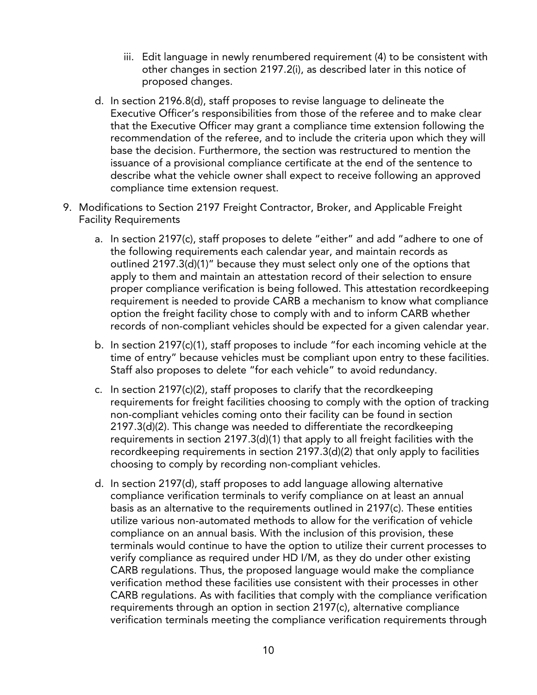- iii. Edit language in newly renumbered requirement (4) to be consistent with other changes in section 2197.2(i), as described later in this notice of proposed changes.
- d. In section 2196.8(d), staff proposes to revise language to delineate the Executive Officer's responsibilities from those of the referee and to make clear that the Executive Officer may grant a compliance time extension following the recommendation of the referee, and to include the criteria upon which they will base the decision. Furthermore, the section was restructured to mention the issuance of a provisional compliance certificate at the end of the sentence to describe what the vehicle owner shall expect to receive following an approved compliance time extension request.
- 9. Modifications to Section 2197 Freight Contractor, Broker, and Applicable Freight Facility Requirements
	- a. In section 2197(c), staff proposes to delete "either" and add "adhere to one of the following requirements each calendar year, and maintain records as outlined 2197.3(d)(1)" because they must select only one of the options that apply to them and maintain an attestation record of their selection to ensure proper compliance verification is being followed. This attestation recordkeeping requirement is needed to provide CARB a mechanism to know what compliance option the freight facility chose to comply with and to inform CARB whether records of non-compliant vehicles should be expected for a given calendar year.
	- b. In section 2197(c)(1), staff proposes to include "for each incoming vehicle at the time of entry" because vehicles must be compliant upon entry to these facilities. Staff also proposes to delete "for each vehicle" to avoid redundancy.
	- c. In section 2197(c)(2), staff proposes to clarify that the recordkeeping requirements for freight facilities choosing to comply with the option of tracking non-compliant vehicles coming onto their facility can be found in section 2197.3(d)(2). This change was needed to differentiate the recordkeeping requirements in section 2197.3(d)(1) that apply to all freight facilities with the recordkeeping requirements in section 2197.3(d)(2) that only apply to facilities choosing to comply by recording non-compliant vehicles.
	- d. In section 2197(d), staff proposes to add language allowing alternative compliance verification terminals to verify compliance on at least an annual basis as an alternative to the requirements outlined in 2197(c). These entities utilize various non-automated methods to allow for the verification of vehicle compliance on an annual basis. With the inclusion of this provision, these terminals would continue to have the option to utilize their current processes to verify compliance as required under HD I/M, as they do under other existing CARB regulations. Thus, the proposed language would make the compliance verification method these facilities use consistent with their processes in other CARB regulations. As with facilities that comply with the compliance verification requirements through an option in section 2197(c), alternative compliance verification terminals meeting the compliance verification requirements through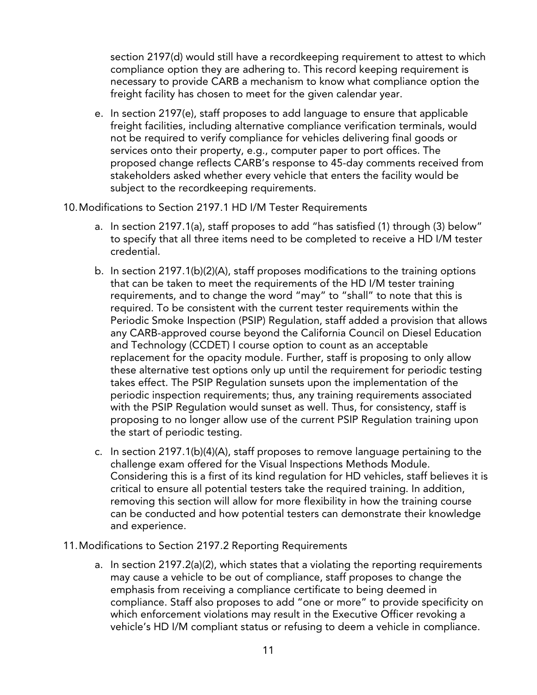section 2197(d) would still have a recordkeeping requirement to attest to which compliance option they are adhering to. This record keeping requirement is necessary to provide CARB a mechanism to know what compliance option the freight facility has chosen to meet for the given calendar year.

- e. In section 2197(e), staff proposes to add language to ensure that applicable freight facilities, including alternative compliance verification terminals, would not be required to verify compliance for vehicles delivering final goods or services onto their property, e.g., computer paper to port offices. The proposed change reflects CARB's response to 45-day comments received from stakeholders asked whether every vehicle that enters the facility would be subject to the recordkeeping requirements.
- 10.Modifications to Section 2197.1 HD I/M Tester Requirements
	- a. In section 2197.1(a), staff proposes to add "has satisfied (1) through (3) below" to specify that all three items need to be completed to receive a HD I/M tester credential.
	- b. In section 2197.1(b)(2)(A), staff proposes modifications to the training options that can be taken to meet the requirements of the HD I/M tester training requirements, and to change the word "may" to "shall" to note that this is required. To be consistent with the current tester requirements within the Periodic Smoke Inspection (PSIP) Regulation, staff added a provision that allows any CARB-approved course beyond the California Council on Diesel Education and Technology (CCDET) I course option to count as an acceptable replacement for the opacity module. Further, staff is proposing to only allow these alternative test options only up until the requirement for periodic testing takes effect. The PSIP Regulation sunsets upon the implementation of the periodic inspection requirements; thus, any training requirements associated with the PSIP Regulation would sunset as well. Thus, for consistency, staff is proposing to no longer allow use of the current PSIP Regulation training upon the start of periodic testing.
	- c. In section 2197.1(b)(4)(A), staff proposes to remove language pertaining to the challenge exam offered for the Visual Inspections Methods Module. Considering this is a first of its kind regulation for HD vehicles, staff believes it is critical to ensure all potential testers take the required training. In addition, removing this section will allow for more flexibility in how the training course can be conducted and how potential testers can demonstrate their knowledge and experience.
- 11.Modifications to Section 2197.2 Reporting Requirements
	- a. In section 2197.2(a)(2), which states that a violating the reporting requirements may cause a vehicle to be out of compliance, staff proposes to change the emphasis from receiving a compliance certificate to being deemed in compliance. Staff also proposes to add "one or more" to provide specificity on which enforcement violations may result in the Executive Officer revoking a vehicle's HD I/M compliant status or refusing to deem a vehicle in compliance.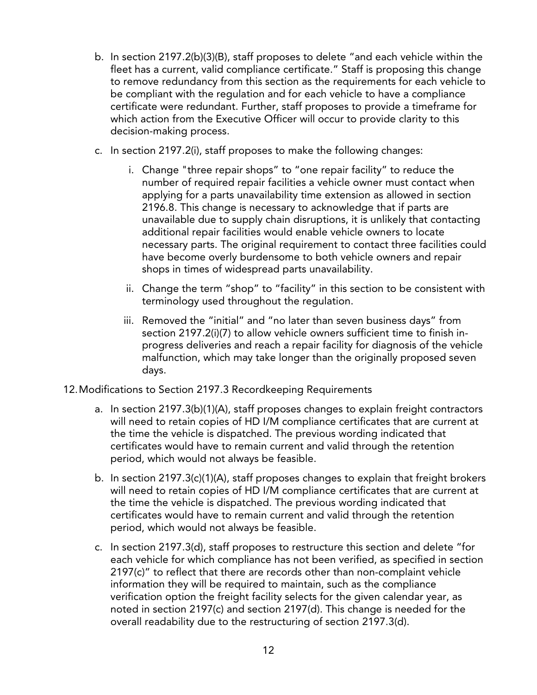- b. In section 2197.2(b)(3)(B), staff proposes to delete "and each vehicle within the fleet has a current, valid compliance certificate." Staff is proposing this change to remove redundancy from this section as the requirements for each vehicle to be compliant with the regulation and for each vehicle to have a compliance certificate were redundant. Further, staff proposes to provide a timeframe for which action from the Executive Officer will occur to provide clarity to this decision-making process.
- c. In section 2197.2(i), staff proposes to make the following changes:
	- i. Change "three repair shops" to "one repair facility" to reduce the number of required repair facilities a vehicle owner must contact when applying for a parts unavailability time extension as allowed in section 2196.8. This change is necessary to acknowledge that if parts are unavailable due to supply chain disruptions, it is unlikely that contacting additional repair facilities would enable vehicle owners to locate necessary parts. The original requirement to contact three facilities could have become overly burdensome to both vehicle owners and repair shops in times of widespread parts unavailability.
	- ii. Change the term "shop" to "facility" in this section to be consistent with terminology used throughout the regulation.
	- iii. Removed the "initial" and "no later than seven business days" from section 2197.2(i)(7) to allow vehicle owners sufficient time to finish in- progress deliveries and reach a repair facility for diagnosis of the vehicle malfunction, which may take longer than the originally proposed seven days.
- 12.Modifications to Section 2197.3 Recordkeeping Requirements
	- a. In section 2197.3(b)(1)(A), staff proposes changes to explain freight contractors will need to retain copies of HD I/M compliance certificates that are current at the time the vehicle is dispatched. The previous wording indicated that certificates would have to remain current and valid through the retention period, which would not always be feasible.
	- b. In section 2197.3(c)(1)(A), staff proposes changes to explain that freight brokers will need to retain copies of HD I/M compliance certificates that are current at the time the vehicle is dispatched. The previous wording indicated that certificates would have to remain current and valid through the retention period, which would not always be feasible.
	- c. In section 2197.3(d), staff proposes to restructure this section and delete "for each vehicle for which compliance has not been verified, as specified in section 2197(c)" to reflect that there are records other than non-complaint vehicle information they will be required to maintain, such as the compliance verification option the freight facility selects for the given calendar year, as noted in section 2197(c) and section 2197(d). This change is needed for the overall readability due to the restructuring of section 2197.3(d).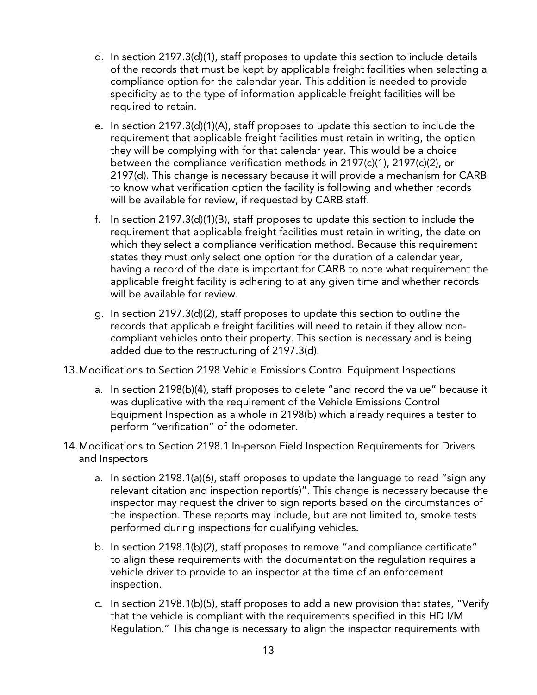- d. In section 2197.3(d)(1), staff proposes to update this section to include details of the records that must be kept by applicable freight facilities when selecting a compliance option for the calendar year. This addition is needed to provide specificity as to the type of information applicable freight facilities will be required to retain.
- e. In section 2197.3(d)(1)(A), staff proposes to update this section to include the requirement that applicable freight facilities must retain in writing, the option they will be complying with for that calendar year. This would be a choice between the compliance verification methods in 2197(c)(1), 2197(c)(2), or 2197(d). This change is necessary because it will provide a mechanism for CARB to know what verification option the facility is following and whether records will be available for review, if requested by CARB staff.
- f. In section 2197.3(d)(1)(B), staff proposes to update this section to include the requirement that applicable freight facilities must retain in writing, the date on which they select a compliance verification method. Because this requirement states they must only select one option for the duration of a calendar year, having a record of the date is important for CARB to note what requirement the applicable freight facility is adhering to at any given time and whether records will be available for review.
- g. In section 2197.3(d)(2), staff proposes to update this section to outline the records that applicable freight facilities will need to retain if they allow non- compliant vehicles onto their property. This section is necessary and is being added due to the restructuring of 2197.3(d).
- 13.Modifications to Section 2198 Vehicle Emissions Control Equipment Inspections
	- a. In section 2198(b)(4), staff proposes to delete "and record the value" because it was duplicative with the requirement of the Vehicle Emissions Control Equipment Inspection as a whole in 2198(b) which already requires a tester to perform "verification" of the odometer.
- 14.Modifications to Section 2198.1 In-person Field Inspection Requirements for Drivers and Inspectors
	- a. In section 2198.1(a)(6), staff proposes to update the language to read "sign any relevant citation and inspection report(s)". This change is necessary because the inspector may request the driver to sign reports based on the circumstances of the inspection. These reports may include, but are not limited to, smoke tests performed during inspections for qualifying vehicles.
	- b. In section 2198.1(b)(2), staff proposes to remove "and compliance certificate" to align these requirements with the documentation the regulation requires a vehicle driver to provide to an inspector at the time of an enforcement inspection.
	- inspection. c. In section 2198.1(b)(5), staff proposes to add a new provision that states, "Verify that the vehicle is compliant with the requirements specified in this HD I/M Regulation." This change is necessary to align the inspector requirements with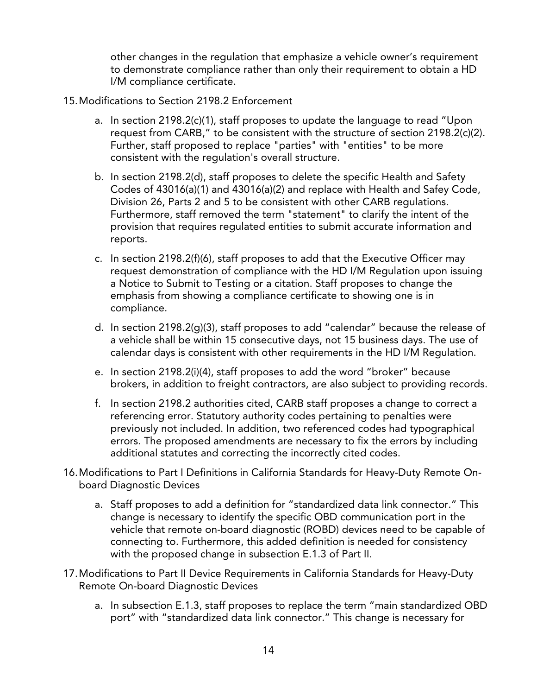other changes in the regulation that emphasize a vehicle owner's requirement to demonstrate compliance rather than only their requirement to obtain a HD I/M compliance certificate.

- 15.Modifications to Section 2198.2 Enforcement
	- a. In section 2198.2(c)(1), staff proposes to update the language to read "Upon request from CARB," to be consistent with the structure of section 2198.2(c)(2). Further, staff proposed to replace "parties" with "entities" to be more consistent with the regulation's overall structure.
	- b. In section 2198.2(d), staff proposes to delete the specific Health and Safety Codes of 43016(a)(1) and 43016(a)(2) and replace with Health and Safey Code, Division 26, Parts 2 and 5 to be consistent with other CARB regulations. Furthermore, staff removed the term "statement" to clarify the intent of the provision that requires regulated entities to submit accurate information and reports.
	- c. In section 2198.2(f)(6), staff proposes to add that the Executive Officer may request demonstration of compliance with the HD I/M Regulation upon issuing a Notice to Submit to Testing or a citation. Staff proposes to change the emphasis from showing a compliance certificate to showing one is in compliance.
	- compliance.<br>d. In section 2198.2(g)(3), staff proposes to add "calendar" because the release of a vehicle shall be within 15 consecutive days, not 15 business days. The use of calendar days is consistent with other requirements in the HD I/M Regulation.
	- e. In section 2198.2(i)(4), staff proposes to add the word "broker" because brokers, in addition to freight contractors, are also subject to providing records.
	- f. In section 2198.2 authorities cited, CARB staff proposes a change to correct a referencing error. Statutory authority codes pertaining to penalties were previously not included. In addition, two referenced codes had typographical errors. The proposed amendments are necessary to fix the errors by including additional statutes and correcting the incorrectly cited codes.
- 16.Modifications to Part I Definitions in California Standards for Heavy-Duty Remote On- board Diagnostic Devices
	- a. Staff proposes to add a definition for "standardized data link connector." This change is necessary to identify the specific OBD communication port in the vehicle that remote on-board diagnostic (ROBD) devices need to be capable of connecting to. Furthermore, this added definition is needed for consistency with the proposed change in subsection E.1.3 of Part II.
- 17.Modifications to Part II Device Requirements in California Standards for Heavy-Duty Remote On-board Diagnostic Devices
	- a. In subsection E.1.3, staff proposes to replace the term "main standardized OBD port" with "standardized data link connector." This change is necessary for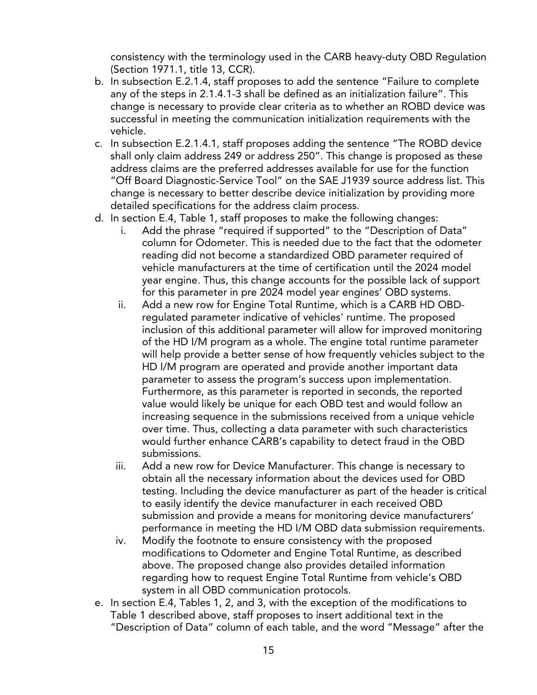consistency with the terminology used in the CARB heavy-duty OBD Regulation (Section 1971.1, title 13, CCR).

- b. In subsection E.2.1.4, staff proposes to add the sentence "Failure to complete any of the steps in 2.1.4.1-3 shall be defined as an initialization failure". This change is necessary to provide clear criteria as to whether an ROBD device was successful in meeting the communication initialization requirements with the vehicle.
- c. In subsection E.2.1.4.1, staff proposes adding the sentence "The ROBD device shall only claim address 249 or address 250". This change is proposed as these address claims are the preferred addresses available for use for the function "Off Board Diagnostic-Service Tool" on the SAE J1939 source address list. This change is necessary to better describe device initialization by providing more detailed specifications for the address claim process.
- d. In section E.4, Table 1, staff proposes to make the following changes:
	- i. Add the phrase "required if supported" to the "Description of Data" column for Odometer. This is needed due to the fact that the odometer reading did not become a standardized OBD parameter required of vehicle manufacturers at the time of certification until the 2024 model year engine. Thus, this change accounts for the possible lack of support for this parameter in pre 2024 model year engines' OBD systems.
	- ii. Add a new row for Engine Total Runtime, which is a CARB HD OBD- regulated parameter indicative of vehicles' runtime. The proposed inclusion of this additional parameter will allow for improved monitoring of the HD I/M program as a whole. The engine total runtime parameter will help provide a better sense of how frequently vehicles subject to the HD I/M program are operated and provide another important data parameter to assess the program's success upon implementation. Furthermore, as this parameter is reported in seconds, the reported value would likely be unique for each OBD test and would follow an increasing sequence in the submissions received from a unique vehicle over time. Thus, collecting a data parameter with such characteristics would further enhance CARB's capability to detect fraud in the OBD submissions.
	- iii. Add a new row for Device Manufacturer. This change is necessary to obtain all the necessary information about the devices used for OBD testing. Including the device manufacturer as part of the header is critical to easily identify the device manufacturer in each received OBD submission and provide a means for monitoring device manufacturers' performance in meeting the HD I/M OBD data submission requirements.
	- iv. Modify the footnote to ensure consistency with the proposed modifications to Odometer and Engine Total Runtime, as described above. The proposed change also provides detailed information regarding how to request Engine Total Runtime from vehicle's OBD system in all OBD communication protocols.
- e. In section E.4, Tables 1, 2, and 3, with the exception of the modifications to Table 1 described above, staff proposes to insert additional text in the "Description of Data" column of each table, and the word "Message" after the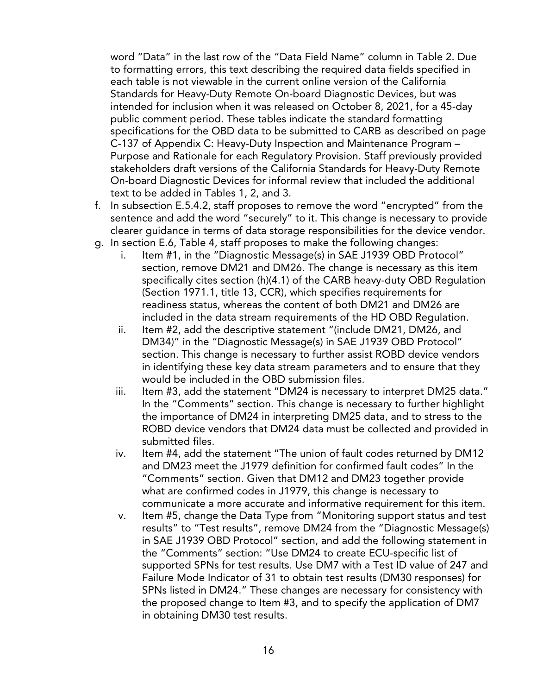word "Data" in the last row of the "Data Field Name" column in Table 2. Due to formatting errors, this text describing the required data fields specified in each table is not viewable in the current online version of the California Standards for Heavy-Duty Remote On-board Diagnostic Devices, but was intended for inclusion when it was released on October 8, 2021, for a 45-day public comment period. These tables indicate the standard formatting specifications for the OBD data to be submitted to CARB as described on page C-137 of Appendix C: Heavy-Duty Inspection and Maintenance Program – Purpose and Rationale for each Regulatory Provision. Staff previously provided stakeholders draft versions of the California Standards for Heavy-Duty Remote On-board Diagnostic Devices for informal review that included the additional text to be added in Tables 1, 2, and 3.

- f. In subsection E.5.4.2, staff proposes to remove the word "encrypted" from the sentence and add the word "securely" to it. This change is necessary to provide clearer guidance in terms of data storage responsibilities for the device vendor.
- g. In section E.6, Table 4, staff proposes to make the following changes:
	- i. Item #1, in the "Diagnostic Message(s) in SAE J1939 OBD Protocol" section, remove DM21 and DM26. The change is necessary as this item specifically cites section (h)(4.1) of the CARB heavy-duty OBD Regulation (Section 1971.1, title 13, CCR), which specifies requirements for readiness status, whereas the content of both DM21 and DM26 are included in the data stream requirements of the HD OBD Regulation.
	- ii. Item #2, add the descriptive statement "(include DM21, DM26, and DM34)" in the "Diagnostic Message(s) in SAE J1939 OBD Protocol" section. This change is necessary to further assist ROBD device vendors in identifying these key data stream parameters and to ensure that they would be included in the OBD submission files.
	- iii. Item #3, add the statement "DM24 is necessary to interpret DM25 data." In the "Comments" section. This change is necessary to further highlight the importance of DM24 in interpreting DM25 data, and to stress to the ROBD device vendors that DM24 data must be collected and provided in submitted files.
	- iv. Item #4, add the statement "The union of fault codes returned by DM12 and DM23 meet the J1979 definition for confirmed fault codes" In the "Comments" section. Given that DM12 and DM23 together provide what are confirmed codes in J1979, this change is necessary to communicate a more accurate and informative requirement for this item.
	- v. Item #5, change the Data Type from "Monitoring support status and test results" to "Test results", remove DM24 from the "Diagnostic Message(s) in SAE J1939 OBD Protocol" section, and add the following statement in the "Comments" section: "Use DM24 to create ECU-specific list of supported SPNs for test results. Use DM7 with a Test ID value of 247 and Failure Mode Indicator of 31 to obtain test results (DM30 responses) for SPNs listed in DM24." These changes are necessary for consistency with the proposed change to Item #3, and to specify the application of DM7 in obtaining DM30 test results.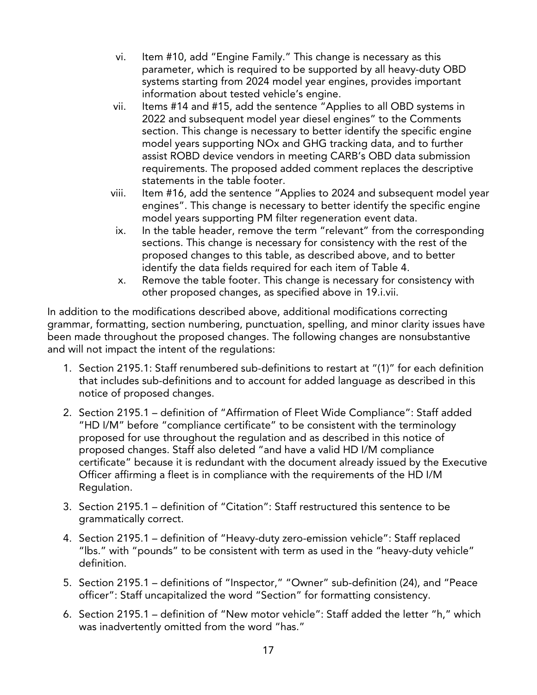- vi. Item #10, add "Engine Family." This change is necessary as this parameter, which is required to be supported by all heavy-duty OBD systems starting from 2024 model year engines, provides important information about tested vehicle's engine.
- vii. Items #14 and #15, add the sentence "Applies to all OBD systems in 2022 and subsequent model year diesel engines" to the Comments section. This change is necessary to better identify the specific engine model years supporting NOx and GHG tracking data, and to further assist ROBD device vendors in meeting CARB's OBD data submission requirements. The proposed added comment replaces the descriptive statements in the table footer.
- viii. Item #16, add the sentence "Applies to 2024 and subsequent model year engines". This change is necessary to better identify the specific engine model years supporting PM filter regeneration event data.
- ix. In the table header, remove the term "relevant" from the corresponding sections. This change is necessary for consistency with the rest of the proposed changes to this table, as described above, and to better identify the data fields required for each item of Table 4.
- x. Remove the table footer. This change is necessary for consistency with other proposed changes, as specified above in 19.i.vii.

 In addition to the modifications described above, additional modifications correcting grammar, formatting, section numbering, punctuation, spelling, and minor clarity issues have been made throughout the proposed changes. The following changes are nonsubstantive and will not impact the intent of the regulations:

- 1. Section 2195.1: Staff renumbered sub-definitions to restart at "(1)" for each definition that includes sub-definitions and to account for added language as described in this notice of proposed changes.
- 2. Section 2195.1 definition of "Affirmation of Fleet Wide Compliance": Staff added "HD I/M" before "compliance certificate" to be consistent with the terminology proposed for use throughout the regulation and as described in this notice of proposed changes. Staff also deleted "and have a valid HD I/M compliance certificate" because it is redundant with the document already issued by the Executive Officer affirming a fleet is in compliance with the requirements of the HD I/M Regulation.
- 3. Section 2195.1 definition of "Citation": Staff restructured this sentence to be grammatically correct.
- 4. Section 2195.1 definition of "Heavy-duty zero-emission vehicle": Staff replaced "lbs." with "pounds" to be consistent with term as used in the "heavy-duty vehicle" definition.
- 5. Section 2195.1 definitions of "Inspector," "Owner" sub-definition (24), and "Peace officer": Staff uncapitalized the word "Section" for formatting consistency.
- 6. Section 2195.1 definition of "New motor vehicle": Staff added the letter "h," which was inadvertently omitted from the word "has."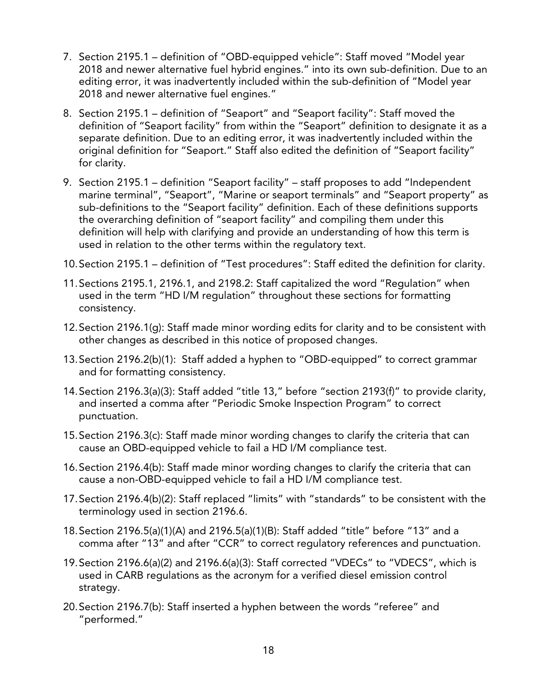- 7. Section 2195.1 definition of "OBD-equipped vehicle": Staff moved "Model year 2018 and newer alternative fuel hybrid engines." into its own sub-definition. Due to an editing error, it was inadvertently included within the sub-definition of "Model year 2018 and newer alternative fuel engines."
- 8. Section 2195.1 definition of "Seaport" and "Seaport facility": Staff moved the definition of "Seaport facility" from within the "Seaport" definition to designate it as a separate definition. Due to an editing error, it was inadvertently included within the original definition for "Seaport." Staff also edited the definition of "Seaport facility" for clarity.
- 9. Section 2195.1 definition "Seaport facility" staff proposes to add "Independent marine terminal", "Seaport", "Marine or seaport terminals" and "Seaport property" as sub-definitions to the "Seaport facility" definition. Each of these definitions supports the overarching definition of "seaport facility" and compiling them under this definition will help with clarifying and provide an understanding of how this term is used in relation to the other terms within the regulatory text.
- 10.Section 2195.1 definition of "Test procedures": Staff edited the definition for clarity.
- 11.Sections 2195.1, 2196.1, and 2198.2: Staff capitalized the word "Regulation" when used in the term "HD I/M regulation" throughout these sections for formatting consistency.
- 12.Section 2196.1(g): Staff made minor wording edits for clarity and to be consistent with other changes as described in this notice of proposed changes.
- 13.Section 2196.2(b)(1): Staff added a hyphen to "OBD-equipped" to correct grammar and for formatting consistency.
- 14.Section 2196.3(a)(3): Staff added "title 13," before "section 2193(f)" to provide clarity, and inserted a comma after "Periodic Smoke Inspection Program" to correct punctuation.
- 15.Section 2196.3(c): Staff made minor wording changes to clarify the criteria that can cause an OBD-equipped vehicle to fail a HD I/M compliance test.
- 16.Section 2196.4(b): Staff made minor wording changes to clarify the criteria that can cause a non-OBD-equipped vehicle to fail a HD I/M compliance test.
- 17.Section 2196.4(b)(2): Staff replaced "limits" with "standards" to be consistent with the terminology used in section 2196.6.
- 18.Section 2196.5(a)(1)(A) and 2196.5(a)(1)(B): Staff added "title" before "13" and a comma after "13" and after "CCR" to correct regulatory references and punctuation.
- 19.Section 2196.6(a)(2) and 2196.6(a)(3): Staff corrected "VDECs" to "VDECS", which is used in CARB regulations as the acronym for a verified diesel emission control strategy.
- strategy. 20.Section 2196.7(b): Staff inserted a hyphen between the words "referee" and "performed."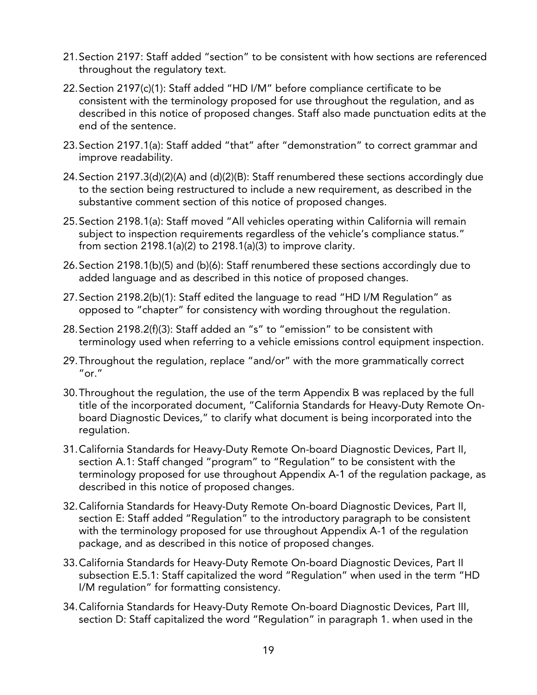- 21.Section 2197: Staff added "section" to be consistent with how sections are referenced throughout the regulatory text.
- 22.Section 2197(c)(1): Staff added "HD I/M" before compliance certificate to be consistent with the terminology proposed for use throughout the regulation, and as described in this notice of proposed changes. Staff also made punctuation edits at the end of the sentence.
- 23.Section 2197.1(a): Staff added "that" after "demonstration" to correct grammar and improve readability.
- 24.Section 2197.3(d)(2)(A) and (d)(2)(B): Staff renumbered these sections accordingly due to the section being restructured to include a new requirement, as described in the substantive comment section of this notice of proposed changes.
- 25.Section 2198.1(a): Staff moved "All vehicles operating within California will remain subject to inspection requirements regardless of the vehicle's compliance status." from section 2198.1(a)(2) to 2198.1(a)(3) to improve clarity.
- 26.Section 2198.1(b)(5) and (b)(6): Staff renumbered these sections accordingly due to added language and as described in this notice of proposed changes.
- 27.Section 2198.2(b)(1): Staff edited the language to read "HD I/M Regulation" as opposed to "chapter" for consistency with wording throughout the regulation.
- 28.Section 2198.2(f)(3): Staff added an "s" to "emission" to be consistent with terminology used when referring to a vehicle emissions control equipment inspection.
- 29.Throughout the regulation, replace "and/or" with the more grammatically correct  $^{\prime\prime}$  or  $^{\prime\prime}$
- 30.Throughout the regulation, the use of the term Appendix B was replaced by the full title of the incorporated document, "California Standards for Heavy-Duty Remote On- board Diagnostic Devices," to clarify what document is being incorporated into the regulation.
- 31.California Standards for Heavy-Duty Remote On-board Diagnostic Devices, Part II, section A.1: Staff changed "program" to "Regulation" to be consistent with the terminology proposed for use throughout Appendix A-1 of the regulation package, as described in this notice of proposed changes.
- 32.California Standards for Heavy-Duty Remote On-board Diagnostic Devices, Part II, section E: Staff added "Regulation" to the introductory paragraph to be consistent with the terminology proposed for use throughout Appendix A-1 of the regulation package, and as described in this notice of proposed changes.
- 33.California Standards for Heavy-Duty Remote On-board Diagnostic Devices, Part II subsection E.5.1: Staff capitalized the word "Regulation" when used in the term "HD I/M regulation" for formatting consistency.
- 34.California Standards for Heavy-Duty Remote On-board Diagnostic Devices, Part III, section D: Staff capitalized the word "Regulation" in paragraph 1. when used in the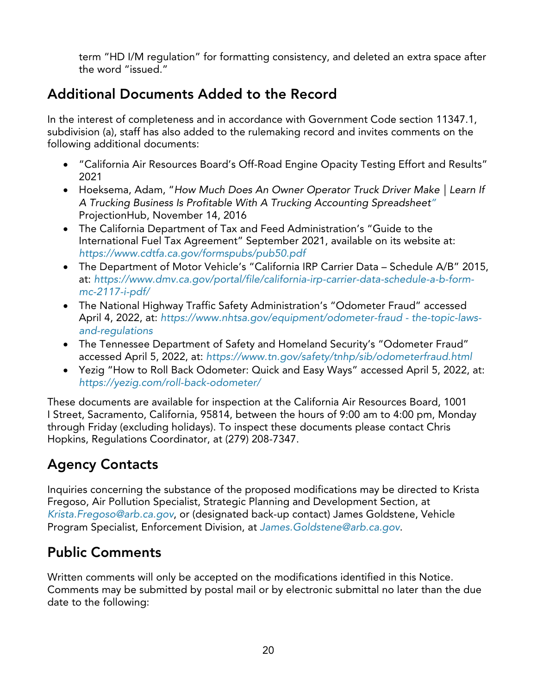term "HD I/M regulation" for formatting consistency, and deleted an extra space after the word "issued."

## Additional Documents Added to the Record

 In the interest of completeness and in accordance with Government Code section 11347.1, subdivision (a), staff has also added to the rulemaking record and invites comments on the following additional documents:

- • "California Air Resources Board's Off-Road Engine Opacity Testing Effort and Results" 2021
- • Hoeksema, Adam, "*[How Much Does An Owner Operator Truck Driver Make | Learn If](https://blog.projectionhub.com/tool-to-calculate-potential-income-as-an-owner-operator-truck-driver/)  [A Trucking Business Is Profitable With A Trucking Accounting Spreadsheet"](https://blog.projectionhub.com/tool-to-calculate-potential-income-as-an-owner-operator-truck-driver/)*  [ProjectionHub, November 14, 2016](https://blog.projectionhub.com/tool-to-calculate-potential-income-as-an-owner-operator-truck-driver/)
- • The California Department of Tax and Feed Administration's "Guide to the International Fuel Tax Agreement" September 2021, available on its website at: *<https://www.cdtfa.ca.gov/formspubs/pub50.pdf>*
- • The Department of Motor Vehicle's "California IRP Carrier Data Schedule A/B" 2015, at: *[https://www.dmv.ca.gov/portal/file/california-irp-carrier-data-schedule-a-b-form](https://www.dmv.ca.gov/portal/file/california-irp-carrier-data-schedule-a-b-form-mc-2117-i-pdf/)[mc-2117-i-pdf/](https://www.dmv.ca.gov/portal/file/california-irp-carrier-data-schedule-a-b-form-mc-2117-i-pdf/)*
- • The National Highway Traffic Safety Administration's "Odometer Fraud" accessed April 4, 2022, at: *[https://www.nhtsa.gov/equipment/odometer-fraud -](https://www.nhtsa.gov/equipment/odometer-fraud#the-topic-laws-and-regulations) the-topic-laws[and-regulations](https://www.nhtsa.gov/equipment/odometer-fraud#the-topic-laws-and-regulations)*
- • The Tennessee Department of Safety and Homeland Security's "Odometer Fraud" accessed April 5, 2022, at: *<https://www.tn.gov/safety/tnhp/sib/odometerfraud.html>*
- • Yezig "How to Roll Back Odometer: Quick and Easy Ways" accessed April 5, 2022, at: *<https://yezig.com/roll-back-odometer/>*

 These documents are available for inspection at the California Air Resources Board, 1001 I Street, Sacramento, California, 95814, between the hours of 9:00 am to 4:00 pm, Monday through Friday (excluding holidays). To inspect these documents please contact Chris Hopkins, Regulations Coordinator, at (279) 208-7347.

## Agency Contacts

 Inquiries concerning the substance of the proposed modifications may be directed to Krista Fregoso, Air Pollution Specialist, Strategic Planning and Development Section, at *[Krista.Fregoso@arb.ca.gov](mailto:Krista.Fregoso@arb.ca.gov)*, or (designated back-up contact) James Goldstene, Vehicle Program Specialist, Enforcement Division, at *[James.Goldstene@arb.ca.gov](mailto:James.Goldstene)*.

## Public Comments

 Written comments will only be accepted on the modifications identified in this Notice. Comments may be submitted by postal mail or by electronic submittal no later than the due date to the following: